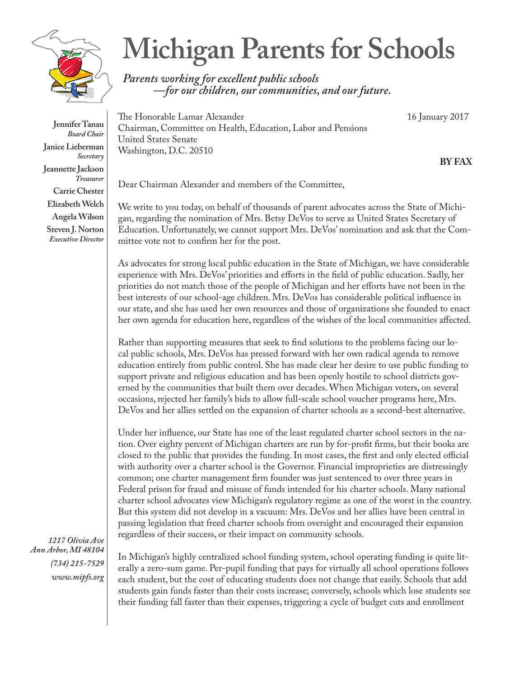

**Jennifer Tanau** *Board Chair* **Janice Lieberman** *Secretary* **Jeannette Jackson** *Treasurer* **Carrie Chester Elizabeth Welch Angela Wilson Steven J. Norton** *Executive Director*

## **Michigan Parents for Schools**

*Parents working for excellent public schools —for our children, our communities, and our future.*

The Honorable Lamar Alexander 16 January 2017 Chairman, Committee on Health, Education, Labor and Pensions United States Senate Washington, D.C. 20510

**BY FAX**

Dear Chairman Alexander and members of the Committee,

We write to you today, on behalf of thousands of parent advocates across the State of Michigan, regarding the nomination of Mrs. Betsy DeVos to serve as United States Secretary of Education. Unfortunately, we cannot support Mrs. DeVos' nomination and ask that the Committee vote not to confirm her for the post.

As advocates for strong local public education in the State of Michigan, we have considerable experience with Mrs. DeVos' priorities and efforts in the field of public education. Sadly, her priorities do not match those of the people of Michigan and her efforts have not been in the best interests of our school-age children. Mrs. DeVos has considerable political influence in our state, and she has used her own resources and those of organizations she founded to enact her own agenda for education here, regardless of the wishes of the local communities affected.

Rather than supporting measures that seek to find solutions to the problems facing our local public schools, Mrs. DeVos has pressed forward with her own radical agenda to remove education entirely from public control. She has made clear her desire to use public funding to support private and religious education and has been openly hostile to school districts governed by the communities that built them over decades. When Michigan voters, on several occasions, rejected her family's bids to allow full-scale school voucher programs here, Mrs. DeVos and her allies settled on the expansion of charter schools as a second-best alternative.

Under her influence, our State has one of the least regulated charter school sectors in the nation. Over eighty percent of Michigan charters are run by for-profit firms, but their books are closed to the public that provides the funding. In most cases, the first and only elected official with authority over a charter school is the Governor. Financial improprieties are distressingly common; one charter management firm founder was just sentenced to over three years in Federal prison for fraud and misuse of funds intended for his charter schools. Many national charter school advocates view Michigan's regulatory regime as one of the worst in the country. But this system did not develop in a vacuum: Mrs. DeVos and her allies have been central in passing legislation that freed charter schools from oversight and encouraged their expansion regardless of their success, or their impact on community schools.

*1217 Olivia Ave Ann Arbor, MI 48104 (734) 215-7529 www.mipfs.org*

In Michigan's highly centralized school funding system, school operating funding is quite literally a zero-sum game. Per-pupil funding that pays for virtually all school operations follows each student, but the cost of educating students does not change that easily. Schools that add students gain funds faster than their costs increase; conversely, schools which lose students see their funding fall faster than their expenses, triggering a cycle of budget cuts and enrollment